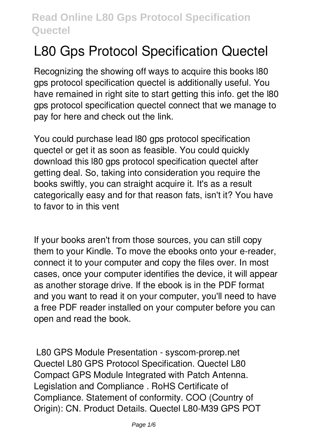# **L80 Gps Protocol Specification Quectel**

Recognizing the showing off ways to acquire this books **l80 gps protocol specification quectel** is additionally useful. You have remained in right site to start getting this info. get the l80 gps protocol specification quectel connect that we manage to pay for here and check out the link.

You could purchase lead l80 gps protocol specification quectel or get it as soon as feasible. You could quickly download this l80 gps protocol specification quectel after getting deal. So, taking into consideration you require the books swiftly, you can straight acquire it. It's as a result categorically easy and for that reason fats, isn't it? You have to favor to in this vent

If your books aren't from those sources, you can still copy them to your Kindle. To move the ebooks onto your e-reader, connect it to your computer and copy the files over. In most cases, once your computer identifies the device, it will appear as another storage drive. If the ebook is in the PDF format and you want to read it on your computer, you'll need to have a free PDF reader installed on your computer before you can open and read the book.

**L80 GPS Module Presentation - syscom-prorep.net** Quectel L80 GPS Protocol Specification. Quectel L80 Compact GPS Module Integrated with Patch Antenna. Legislation and Compliance . RoHS Certificate of Compliance. Statement of conformity. COO (Country of Origin): CN. Product Details. Quectel L80-M39 GPS POT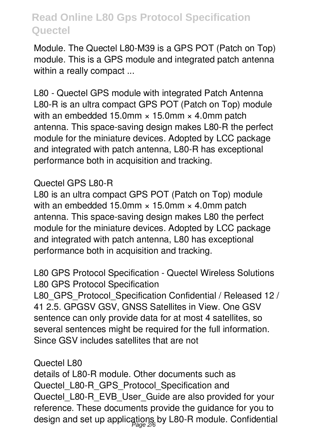Module. The Quectel L80-M39 is a GPS POT (Patch on Top) module. This is a GPS module and integrated patch antenna within a really compact ...

**L80 - Quectel GPS module with integrated Patch Antenna** L80-R is an ultra compact GPS POT (Patch on Top) module with an embedded 15.0mm  $\times$  15.0mm  $\times$  4.0mm patch antenna. This space-saving design makes L80-R the perfect module for the miniature devices. Adopted by LCC package and integrated with patch antenna, L80-R has exceptional performance both in acquisition and tracking.

### **Quectel GPS L80-R**

L80 is an ultra compact GPS POT (Patch on Top) module with an embedded 15.0mm  $\times$  15.0mm  $\times$  4.0mm patch antenna. This space-saving design makes L80 the perfect module for the miniature devices. Adopted by LCC package and integrated with patch antenna, L80 has exceptional performance both in acquisition and tracking.

**L80 GPS Protocol Specification - Quectel Wireless Solutions** L80 GPS Protocol Specification

L80 GPS Protocol Specification Confidential / Released 12 / 41 2.5. GPGSV GSV, GNSS Satellites in View. One GSV sentence can only provide data for at most 4 satellites, so several sentences might be required for the full information. Since GSV includes satellites that are not

#### **Quectel L80**

details of L80-R module. Other documents such as Quectel L80-R GPS Protocol Specification and Quectel\_L80-R\_EVB\_User\_Guide are also provided for your reference. These documents provide the guidance for you to design and set up applications by L80-R module. Confidential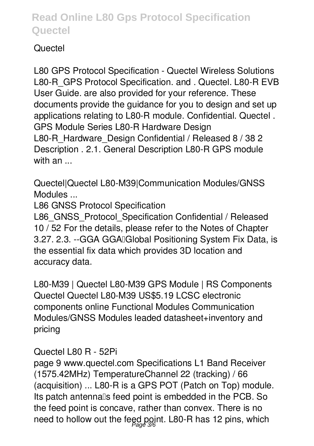## **Quectel**

**L80 GPS Protocol Specification - Quectel Wireless Solutions** L80-R\_GPS Protocol Specification. and . Quectel. L80-R EVB User Guide. are also provided for your reference. These documents provide the guidance for you to design and set up applications relating to L80-R module. Confidential. Quectel . GPS Module Series L80-R Hardware Design L80-R\_Hardware\_Design Confidential / Released 8 / 38 2 Description . 2.1. General Description L80-R GPS module with an ...

**Quectel|Quectel L80-M39|Communication Modules/GNSS Modules ...**

L86 GNSS Protocol Specification

L86 GNSS Protocol Specification Confidential / Released 10 / 52 For the details, please refer to the Notes of Chapter 3.27. 2.3. -- GGA GGAIGlobal Positioning System Fix Data, is the essential fix data which provides 3D location and accuracy data.

**L80-M39 | Quectel L80-M39 GPS Module | RS Components** Quectel Quectel L80-M39 US\$5.19 LCSC electronic components online Functional Modules Communication Modules/GNSS Modules leaded datasheet+inventory and pricing

**Quectel L80 R - 52Pi**

page 9 www.quectel.com Specifications L1 Band Receiver (1575.42MHz) TemperatureChannel 22 (tracking) / 66 (acquisition) ... L80-R is a GPS POT (Patch on Top) module. Its patch antennalls feed point is embedded in the PCB. So the feed point is concave, rather than convex. There is no need to hollow out the feed point. L80-R has 12 pins, which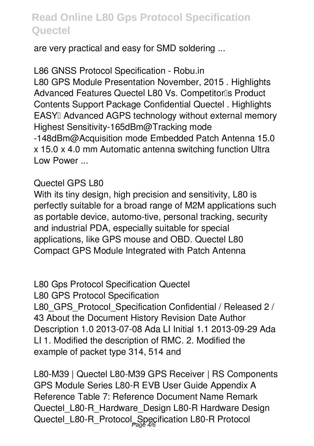are very practical and easy for SMD soldering ...

**L86 GNSS Protocol Specification - Robu.in** L80 GPS Module Presentation November, 2015 . Highlights Advanced Features Quectel L80 Vs. Competitor<sup>1</sup>s Product Contents Support Package Confidential Quectel . Highlights **EASY**<sup>Ⅱ</sup> Advanced AGPS technology without external memory Highest Sensitivity-165dBm@Tracking mode -148dBm@Acquisition mode Embedded Patch Antenna 15.0 x 15.0 x 4.0 mm Automatic antenna switching function Ultra Low Power ...

#### **Quectel GPS L80**

With its tiny design, high precision and sensitivity, L80 is perfectly suitable for a broad range of M2M applications such as portable device, automo-tive, personal tracking, security and industrial PDA, especially suitable for special applications, like GPS mouse and OBD. Quectel L80 Compact GPS Module Integrated with Patch Antenna

**L80 Gps Protocol Specification Quectel** L80 GPS Protocol Specification L80 GPS Protocol Specification Confidential / Released 2 / 43 About the Document History Revision Date Author Description 1.0 2013-07-08 Ada LI Initial 1.1 2013-09-29 Ada LI 1. Modified the description of RMC. 2. Modified the example of packet type 314, 514 and

**L80-M39 | Quectel L80-M39 GPS Receiver | RS Components** GPS Module Series L80-R EVB User Guide Appendix A Reference Table 7: Reference Document Name Remark Quectel L80-R Hardware Design L80-R Hardware Design Quectel\_L80-R\_Protocol\_Specification L80-R Protocol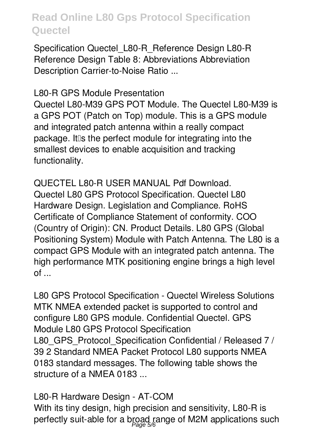Specification Quectel\_L80-R\_Reference Design L80-R Reference Design Table 8: Abbreviations Abbreviation Description Carrier-to-Noise Ratio ...

**L80-R GPS Module Presentation**

Quectel L80-M39 GPS POT Module. The Quectel L80-M39 is a GPS POT (Patch on Top) module. This is a GPS module and integrated patch antenna within a really compact package. It is the perfect module for integrating into the smallest devices to enable acquisition and tracking functionality.

**QUECTEL L80-R USER MANUAL Pdf Download.** Quectel L80 GPS Protocol Specification. Quectel L80 Hardware Design. Legislation and Compliance. RoHS Certificate of Compliance Statement of conformity. COO (Country of Origin): CN. Product Details. L80 GPS (Global Positioning System) Module with Patch Antenna. The L80 is a compact GPS Module with an integrated patch antenna. The high performance MTK positioning engine brings a high level of ...

**L80 GPS Protocol Specification - Quectel Wireless Solutions** MTK NMEA extended packet is supported to control and configure L80 GPS module. Confidential Quectel. GPS Module L80 GPS Protocol Specification L80 GPS Protocol Specification Confidential / Released 7 / 39 2 Standard NMEA Packet Protocol L80 supports NMEA 0183 standard messages. The following table shows the structure of a NMEA 0183 ...

**L80-R Hardware Design - AT-COM** With its tiny design, high precision and sensitivity, L80-R is perfectly suit-able for a broad range of M2M applications such